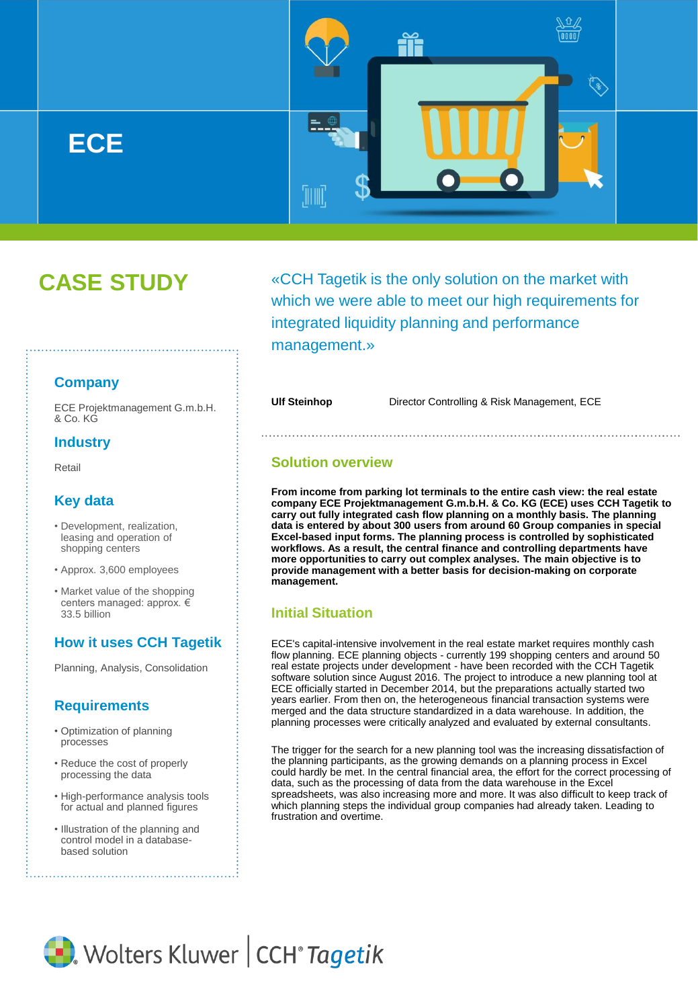

# **CASE STUDY**

«CCH Tagetik is the only solution on the market with which we were able to meet our high requirements for integrated liquidity planning and performance management.»

'III III

**Ulf Steinhop** Director Controlling & Risk Management, ECE

## **Solution overview**

**From income from parking lot terminals to the entire cash view: the real estate company ECE Projektmanagement G.m.b.H. & Co. KG (ECE) uses CCH Tagetik to carry out fully integrated cash flow planning on a monthly basis. The planning data is entered by about 300 users from around 60 Group companies in special Excel-based input forms. The planning process is controlled by sophisticated workflows. As a result, the central finance and controlling departments have more opportunities to carry out complex analyses. The main objective is to provide management with a better basis for decision-making on corporate management.**

## **Initial Situation**

ECE's capital-intensive involvement in the real estate market requires monthly cash flow planning. ECE planning objects - currently 199 shopping centers and around 50 real estate projects under development - have been recorded with the CCH Tagetik software solution since August 2016. The project to introduce a new planning tool at ECE officially started in December 2014, but the preparations actually started two years earlier. From then on, the heterogeneous financial transaction systems were merged and the data structure standardized in a data warehouse. In addition, the planning processes were critically analyzed and evaluated by external consultants.

The trigger for the search for a new planning tool was the increasing dissatisfaction of the planning participants, as the growing demands on a planning process in Excel could hardly be met. In the central financial area, the effort for the correct processing of data, such as the processing of data from the data warehouse in the Excel spreadsheets, was also increasing more and more. It was also difficult to keep track of which planning steps the individual group companies had already taken. Leading to frustration and overtime.



ECE Projektmanagement G.m.b.H. & Co. KG

## **Industry**

Retail

## **Key data**

- Development, realization, leasing and operation of shopping centers
- Approx. 3,600 employees
- Market value of the shopping centers managed: approx. € 33.5 billion

# **How it uses CCH Tagetik**

Planning, Analysis, Consolidation

## **Requirements**

- Optimization of planning processes
- Reduce the cost of properly processing the data
- High-performance analysis tools for actual and planned figures
- Illustration of the planning and control model in a databasebased solution

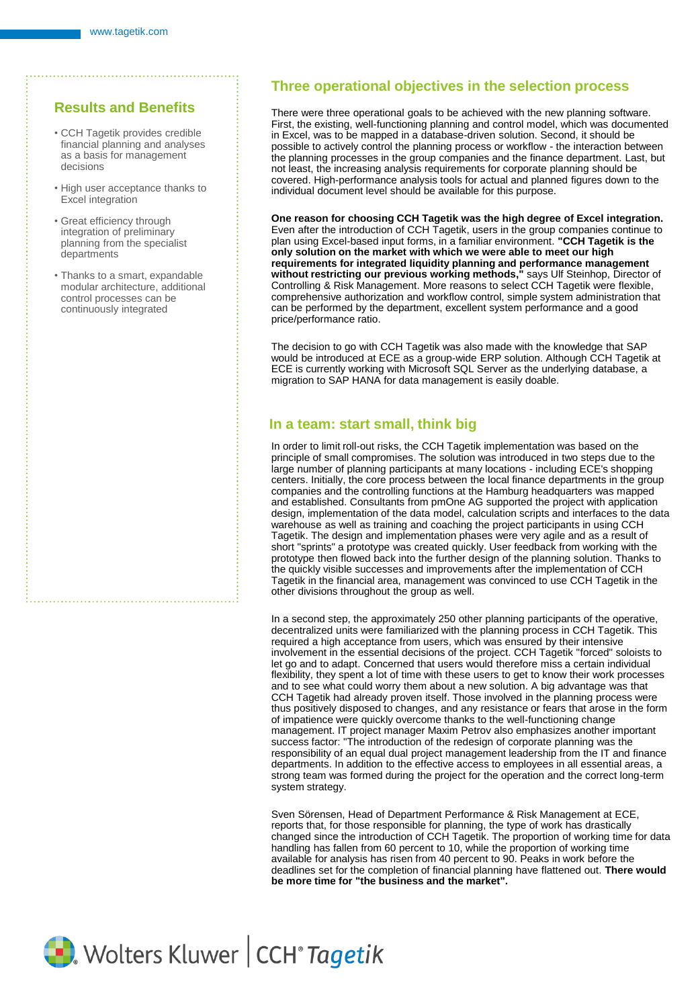# **Results and Benefits**

- CCH Tagetik provides credible financial planning and analyses as a basis for management decisions
- High user acceptance thanks to Excel integration
- Great efficiency through integration of preliminary planning from the specialist departments
- Thanks to a smart, expandable modular architecture, additional control processes can be continuously integrated

## **Three operational objectives in the selection process**

There were three operational goals to be achieved with the new planning software. First, the existing, well-functioning planning and control model, which was documented in Excel, was to be mapped in a database-driven solution. Second, it should be possible to actively control the planning process or workflow - the interaction between the planning processes in the group companies and the finance department. Last, but not least, the increasing analysis requirements for corporate planning should be covered. High-performance analysis tools for actual and planned figures down to the individual document level should be available for this purpose.

**One reason for choosing CCH Tagetik was the high degree of Excel integration.** Even after the introduction of CCH Tagetik, users in the group companies continue to plan using Excel-based input forms, in a familiar environment. **"CCH Tagetik is the only solution on the market with which we were able to meet our high requirements for integrated liquidity planning and performance management without restricting our previous working methods,"** says Ulf Steinhop, Director of Controlling & Risk Management. More reasons to select CCH Tagetik were flexible, comprehensive authorization and workflow control, simple system administration that can be performed by the department, excellent system performance and a good price/performance ratio.

The decision to go with CCH Tagetik was also made with the knowledge that SAP would be introduced at ECE as a group-wide ERP solution. Although CCH Tagetik at ECE is currently working with Microsoft SQL Server as the underlying database, a migration to SAP HANA for data management is easily doable.

## **In a team: start small, think big**

In order to limit roll-out risks, the CCH Tagetik implementation was based on the principle of small compromises. The solution was introduced in two steps due to the large number of planning participants at many locations - including ECE's shopping centers. Initially, the core process between the local finance departments in the group companies and the controlling functions at the Hamburg headquarters was mapped and established. Consultants from pmOne AG supported the project with application design, implementation of the data model, calculation scripts and interfaces to the data warehouse as well as training and coaching the project participants in using CCH Tagetik. The design and implementation phases were very agile and as a result of short "sprints" a prototype was created quickly. User feedback from working with the prototype then flowed back into the further design of the planning solution. Thanks to the quickly visible successes and improvements after the implementation of CCH Tagetik in the financial area, management was convinced to use CCH Tagetik in the other divisions throughout the group as well.

In a second step, the approximately 250 other planning participants of the operative, decentralized units were familiarized with the planning process in CCH Tagetik. This required a high acceptance from users, which was ensured by their intensive involvement in the essential decisions of the project. CCH Tagetik "forced" soloists to let go and to adapt. Concerned that users would therefore miss a certain individual flexibility, they spent a lot of time with these users to get to know their work processes and to see what could worry them about a new solution. A big advantage was that CCH Tagetik had already proven itself. Those involved in the planning process were thus positively disposed to changes, and any resistance or fears that arose in the form of impatience were quickly overcome thanks to the well-functioning change management. IT project manager Maxim Petrov also emphasizes another important success factor: "The introduction of the redesign of corporate planning was the responsibility of an equal dual project management leadership from the IT and finance departments. In addition to the effective access to employees in all essential areas, a strong team was formed during the project for the operation and the correct long-term system strategy.

Sven Sörensen, Head of Department Performance & Risk Management at ECE, reports that, for those responsible for planning, the type of work has drastically changed since the introduction of CCH Tagetik. The proportion of working time for data handling has fallen from 60 percent to 10, while the proportion of working time available for analysis has risen from 40 percent to 90. Peaks in work before the deadlines set for the completion of financial planning have flattened out. **There would be more time for "the business and the market".**